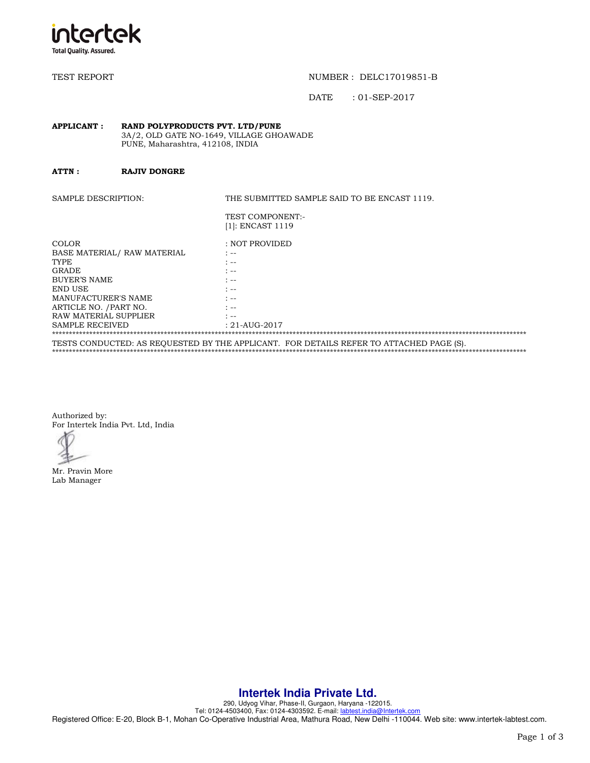

TEST REPORT TEST REPORT TEST AND THE REPORT OF THE REPORT OF THE REPORT OF THE REPORT OF THE REPORT OF THE REPORT OF THE REPORT OF THE REPORT OF THE REPORT OF THE REPORT OF THE REPORT OF THE REPORT OF THE REPORT OF THE REP

DATE : 01-SEP-2017

#### **APPLICANT : RAND POLYPRODUCTS PVT. LTD/PUNE**  3A/2, OLD GATE NO-1649, VILLAGE GHOAWADE PUNE, Maharashtra, 412108, INDIA

**ATTN : RAJIV DONGRE** 

SAMPLE DESCRIPTION: THE SUBMITTED SAMPLE SAID TO BE ENCAST 1119. TEST COMPONENT:- [1]: ENCAST 1119 COLOR : NOT PROVIDED BASE MATERIAL/ RAW MATERIAL : --<br>TYPE : -- $\mathbf{T} \mathbf{YPE}$  : --GRADE : --<br>BUYER'S NAME : --BUYER'S NAME END USE  $\begin{array}{ccc} \text{END} & \text{S} \\ \text{MANUFACTURER'S NAME} & \text{S} \end{array}$ MANUFACTURER'S NAME ARTICLE NO. /PART NO.  $\cdot$  :--<br>RAW MATERIAL SUPPLIER

SAMPLE RECEIVED : 21-AUG-2017 \*\*\*\*\*\*\*\*\*\*\*\*\*\*\*\*\*\*\*\*\*\*\*\*\*\*\*\*\*\*\*\*\*\*\*\*\*\*\*\*\*\*\*\*\*\*\*\*\*\*\*\*\*\*\*\*\*\*\*\*\*\*\*\*\*\*\*\*\*\*\*\*\*\*\*\*\*\*\*\*\*\*\*\*\*\*\*\*\*\*\*\*\*\*\*\*\*\*\*\*\*\*\*\*\*\*\*\*\*\*\*\*\*\*\*\*\*\*\*\*\*\*\*\*\*\*\*\*\*\*\*\*\*\*\*\*\*\*\*\* TESTS CONDUCTED: AS REQUESTED BY THE APPLICANT. FOR DETAILS REFER TO ATTACHED PAGE (S). \*\*\*\*\*\*\*\*\*\*\*\*\*\*\*\*\*\*\*\*\*\*\*\*\*\*\*\*\*\*\*\*\*\*\*\*\*\*\*\*\*\*\*\*\*\*\*\*\*\*\*\*\*\*\*\*\*\*\*\*\*\*\*\*\*\*\*\*\*\*\*\*\*\*\*\*\*\*\*\*\*\*\*\*\*\*\*\*\*\*\*\*\*\*\*\*\*\*\*\*\*\*\*\*\*\*\*\*\*\*\*\*\*\*\*\*\*\*\*\*\*\*\*\*\*\*\*\*\*\*\*\*\*\*\*\*\*\*\*\*

Authorized by: For Intertek India Pvt. Ltd, India

RAW MATERIAL SUPPLIER

Mr. Pravin More Lab Manager

## **Intertek India Private Ltd.**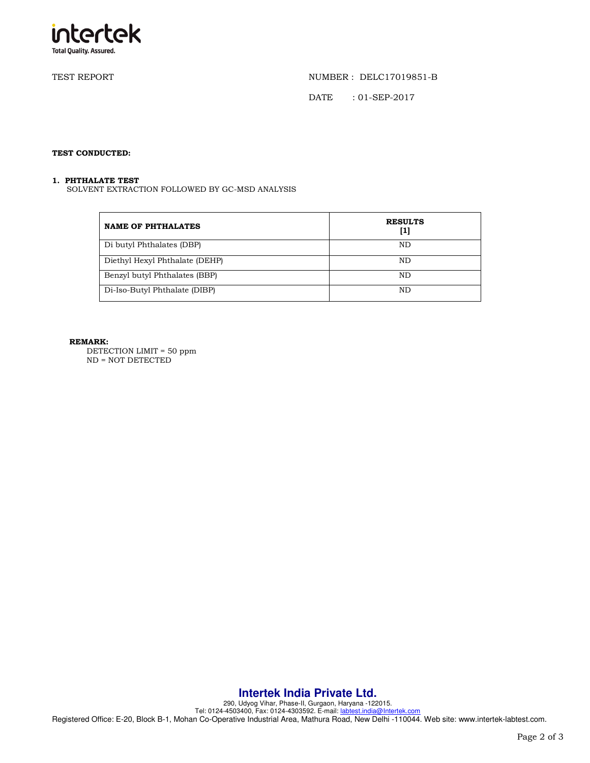

TEST REPORT NUMBER : DELC17019851-B

DATE : 01-SEP-2017

### **TEST CONDUCTED:**

#### **1. PHTHALATE TEST**

SOLVENT EXTRACTION FOLLOWED BY GC-MSD ANALYSIS

| <b>NAME OF PHTHALATES</b>      | <b>RESULTS</b><br>[1] |
|--------------------------------|-----------------------|
| Di butyl Phthalates (DBP)      | ND.                   |
| Diethyl Hexyl Phthalate (DEHP) | ND.                   |
| Benzyl butyl Phthalates (BBP)  | ND.                   |
| Di-Iso-Butyl Phthalate (DIBP)  | ND.                   |

#### **REMARK:**

DETECTION LIMIT = 50 ppm ND = NOT DETECTED